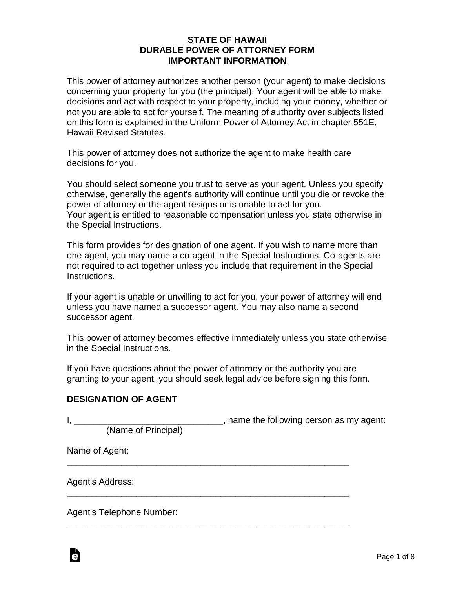## **STATE OF HAWAII DURABLE POWER OF ATTORNEY FORM IMPORTANT INFORMATION**

This power of attorney authorizes another person (your agent) to make decisions concerning your property for you (the principal). Your agent will be able to make decisions and act with respect to your property, including your money, whether or not you are able to act for yourself. The meaning of authority over subjects listed on this form is explained in the Uniform Power of Attorney Act in chapter 551E, Hawaii Revised Statutes.

This power of attorney does not authorize the agent to make health care decisions for you.

You should select someone you trust to serve as your agent. Unless you specify otherwise, generally the agent's authority will continue until you die or revoke the power of attorney or the agent resigns or is unable to act for you. Your agent is entitled to reasonable compensation unless you state otherwise in the Special Instructions.

This form provides for designation of one agent. If you wish to name more than one agent, you may name a co-agent in the Special Instructions. Co-agents are not required to act together unless you include that requirement in the Special Instructions.

If your agent is unable or unwilling to act for you, your power of attorney will end unless you have named a successor agent. You may also name a second successor agent.

This power of attorney becomes effective immediately unless you state otherwise in the Special Instructions.

If you have questions about the power of attorney or the authority you are granting to your agent, you should seek legal advice before signing this form.

## **DESIGNATION OF AGENT**

|                     | , name the following person as my agent: |
|---------------------|------------------------------------------|
| (Name of Principal) |                                          |
| Name of Agent:      |                                          |
| Agent's Address:    |                                          |

\_\_\_\_\_\_\_\_\_\_\_\_\_\_\_\_\_\_\_\_\_\_\_\_\_\_\_\_\_\_\_\_\_\_\_\_\_\_\_\_\_\_\_\_\_\_\_\_\_\_\_\_\_\_\_\_\_

Agent's Telephone Number:

Ġ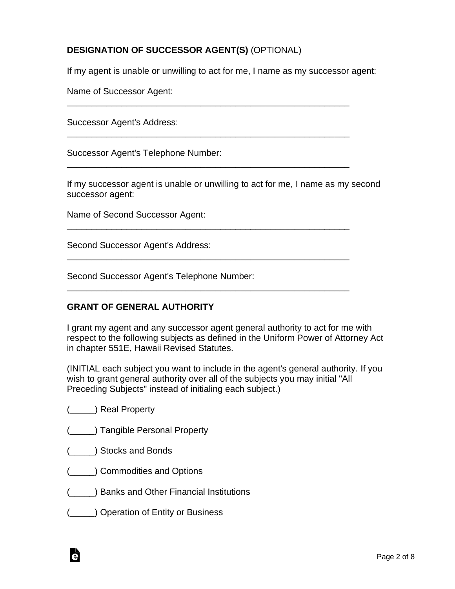# **DESIGNATION OF SUCCESSOR AGENT(S)** (OPTIONAL)

If my agent is unable or unwilling to act for me, I name as my successor agent:

\_\_\_\_\_\_\_\_\_\_\_\_\_\_\_\_\_\_\_\_\_\_\_\_\_\_\_\_\_\_\_\_\_\_\_\_\_\_\_\_\_\_\_\_\_\_\_\_\_\_\_\_\_\_\_\_\_

\_\_\_\_\_\_\_\_\_\_\_\_\_\_\_\_\_\_\_\_\_\_\_\_\_\_\_\_\_\_\_\_\_\_\_\_\_\_\_\_\_\_\_\_\_\_\_\_\_\_\_\_\_\_\_\_\_

\_\_\_\_\_\_\_\_\_\_\_\_\_\_\_\_\_\_\_\_\_\_\_\_\_\_\_\_\_\_\_\_\_\_\_\_\_\_\_\_\_\_\_\_\_\_\_\_\_\_\_\_\_\_\_\_\_

\_\_\_\_\_\_\_\_\_\_\_\_\_\_\_\_\_\_\_\_\_\_\_\_\_\_\_\_\_\_\_\_\_\_\_\_\_\_\_\_\_\_\_\_\_\_\_\_\_\_\_\_\_\_\_\_\_

\_\_\_\_\_\_\_\_\_\_\_\_\_\_\_\_\_\_\_\_\_\_\_\_\_\_\_\_\_\_\_\_\_\_\_\_\_\_\_\_\_\_\_\_\_\_\_\_\_\_\_\_\_\_\_\_\_

\_\_\_\_\_\_\_\_\_\_\_\_\_\_\_\_\_\_\_\_\_\_\_\_\_\_\_\_\_\_\_\_\_\_\_\_\_\_\_\_\_\_\_\_\_\_\_\_\_\_\_\_\_\_\_\_\_

Name of Successor Agent:

Successor Agent's Address:

Successor Agent's Telephone Number:

If my successor agent is unable or unwilling to act for me, I name as my second successor agent:

Name of Second Successor Agent:

Second Successor Agent's Address:

Second Successor Agent's Telephone Number:

## **GRANT OF GENERAL AUTHORITY**

I grant my agent and any successor agent general authority to act for me with respect to the following subjects as defined in the Uniform Power of Attorney Act in chapter 551E, Hawaii Revised Statutes.

(INITIAL each subject you want to include in the agent's general authority. If you wish to grant general authority over all of the subjects you may initial "All Preceding Subjects" instead of initialing each subject.)

- (\_\_\_\_\_) Real Property
- (\_\_\_\_\_) Tangible Personal Property
- (\_\_\_\_\_) Stocks and Bonds
- (\_\_\_\_\_) Commodities and Options
- (\_\_\_\_\_) Banks and Other Financial Institutions
- (\_\_\_\_\_) Operation of Entity or Business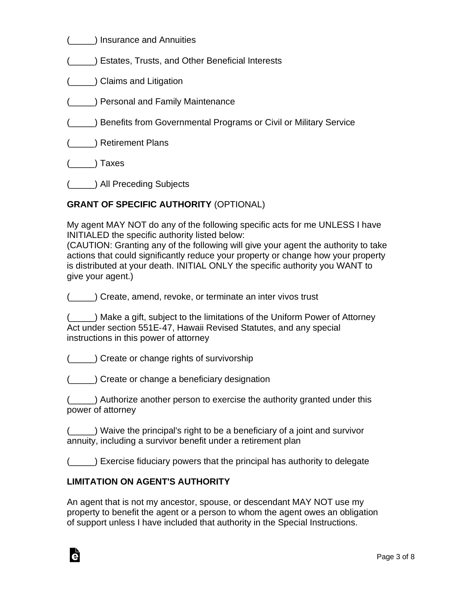(\_\_\_\_\_) Insurance and Annuities

(\_\_\_\_\_) Estates, Trusts, and Other Beneficial Interests

(\_\_\_\_\_) Claims and Litigation

(\_\_\_\_\_) Personal and Family Maintenance

- (\_\_\_\_\_) Benefits from Governmental Programs or Civil or Military Service
- (\_\_\_\_\_) Retirement Plans

(\_\_\_\_\_) Taxes

(\_\_\_\_\_) All Preceding Subjects

# **GRANT OF SPECIFIC AUTHORITY** (OPTIONAL)

My agent MAY NOT do any of the following specific acts for me UNLESS I have INITIALED the specific authority listed below:

(CAUTION: Granting any of the following will give your agent the authority to take actions that could significantly reduce your property or change how your property is distributed at your death. INITIAL ONLY the specific authority you WANT to give your agent.)

(\_\_\_\_\_) Create, amend, revoke, or terminate an inter vivos trust

| (____) Make a gift, subject to the limitations of the Uniform Power of Attorney |
|---------------------------------------------------------------------------------|
| Act under section 551E-47, Hawaii Revised Statutes, and any special             |
| instructions in this power of attorney                                          |

(\_\_\_\_\_) Create or change rights of survivorship

(\_\_\_\_\_) Create or change a beneficiary designation

(\_\_\_\_\_) Authorize another person to exercise the authority granted under this power of attorney

(\_\_\_\_\_) Waive the principal's right to be a beneficiary of a joint and survivor annuity, including a survivor benefit under a retirement plan

(\_\_\_\_\_) Exercise fiduciary powers that the principal has authority to delegate

# **LIMITATION ON AGENT'S AUTHORITY**

An agent that is not my ancestor, spouse, or descendant MAY NOT use my property to benefit the agent or a person to whom the agent owes an obligation of support unless I have included that authority in the Special Instructions.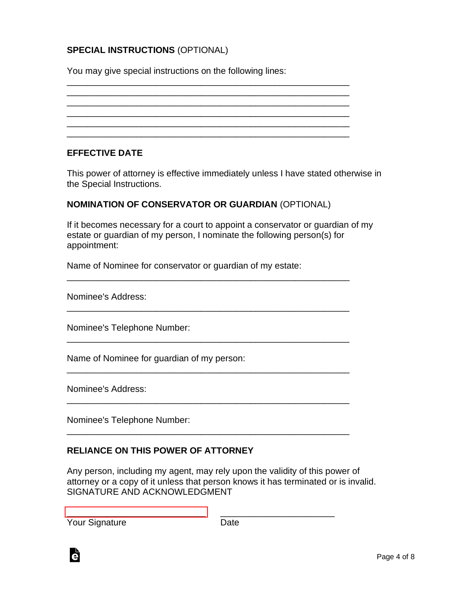# **SPECIAL INSTRUCTIONS** (OPTIONAL)

You may give special instructions on the following lines:

\_\_\_\_\_\_\_\_\_\_\_\_\_\_\_\_\_\_\_\_\_\_\_\_\_\_\_\_\_\_\_\_\_\_\_\_\_\_\_\_\_\_\_\_\_\_\_\_\_\_\_\_\_\_\_\_\_ \_\_\_\_\_\_\_\_\_\_\_\_\_\_\_\_\_\_\_\_\_\_\_\_\_\_\_\_\_\_\_\_\_\_\_\_\_\_\_\_\_\_\_\_\_\_\_\_\_\_\_\_\_\_\_\_\_ \_\_\_\_\_\_\_\_\_\_\_\_\_\_\_\_\_\_\_\_\_\_\_\_\_\_\_\_\_\_\_\_\_\_\_\_\_\_\_\_\_\_\_\_\_\_\_\_\_\_\_\_\_\_\_\_\_ \_\_\_\_\_\_\_\_\_\_\_\_\_\_\_\_\_\_\_\_\_\_\_\_\_\_\_\_\_\_\_\_\_\_\_\_\_\_\_\_\_\_\_\_\_\_\_\_\_\_\_\_\_\_\_\_\_ \_\_\_\_\_\_\_\_\_\_\_\_\_\_\_\_\_\_\_\_\_\_\_\_\_\_\_\_\_\_\_\_\_\_\_\_\_\_\_\_\_\_\_\_\_\_\_\_\_\_\_\_\_\_\_\_\_ \_\_\_\_\_\_\_\_\_\_\_\_\_\_\_\_\_\_\_\_\_\_\_\_\_\_\_\_\_\_\_\_\_\_\_\_\_\_\_\_\_\_\_\_\_\_\_\_\_\_\_\_\_\_\_\_\_

#### **EFFECTIVE DATE**

This power of attorney is effective immediately unless I have stated otherwise in the Special Instructions.

#### **NOMINATION OF CONSERVATOR OR GUARDIAN** (OPTIONAL)

If it becomes necessary for a court to appoint a conservator or guardian of my estate or guardian of my person, I nominate the following person(s) for appointment:

\_\_\_\_\_\_\_\_\_\_\_\_\_\_\_\_\_\_\_\_\_\_\_\_\_\_\_\_\_\_\_\_\_\_\_\_\_\_\_\_\_\_\_\_\_\_\_\_\_\_\_\_\_\_\_\_\_

\_\_\_\_\_\_\_\_\_\_\_\_\_\_\_\_\_\_\_\_\_\_\_\_\_\_\_\_\_\_\_\_\_\_\_\_\_\_\_\_\_\_\_\_\_\_\_\_\_\_\_\_\_\_\_\_\_

\_\_\_\_\_\_\_\_\_\_\_\_\_\_\_\_\_\_\_\_\_\_\_\_\_\_\_\_\_\_\_\_\_\_\_\_\_\_\_\_\_\_\_\_\_\_\_\_\_\_\_\_\_\_\_\_\_

\_\_\_\_\_\_\_\_\_\_\_\_\_\_\_\_\_\_\_\_\_\_\_\_\_\_\_\_\_\_\_\_\_\_\_\_\_\_\_\_\_\_\_\_\_\_\_\_\_\_\_\_\_\_\_\_\_

\_\_\_\_\_\_\_\_\_\_\_\_\_\_\_\_\_\_\_\_\_\_\_\_\_\_\_\_\_\_\_\_\_\_\_\_\_\_\_\_\_\_\_\_\_\_\_\_\_\_\_\_\_\_\_\_\_

\_\_\_\_\_\_\_\_\_\_\_\_\_\_\_\_\_\_\_\_\_\_\_\_\_\_\_\_\_\_\_\_\_\_\_\_\_\_\_\_\_\_\_\_\_\_\_\_\_\_\_\_\_\_\_\_\_

[\\_\\_\\_\\_\\_\\_\\_\\_\\_\\_\\_\\_\\_\\_\\_\\_\\_\\_\\_\\_\\_\\_\\_\\_\\_\\_\\_\\_](https://esign.com/) \_\_\_\_\_\_\_\_\_\_\_\_\_\_\_\_\_\_\_\_\_\_\_

Name of Nominee for conservator or guardian of my estate:

Nominee's Address:

Nominee's Telephone Number:

Name of Nominee for guardian of my person:

Nominee's Address:

Nominee's Telephone Number:

# **RELIANCE ON THIS POWER OF ATTORNEY**

Any person, including my agent, may rely upon the validity of this power of attorney or a copy of it unless that person knows it has terminated or is invalid. SIGNATURE AND ACKNOWLEDGMENT

| <b>Your Signature</b> | Date |
|-----------------------|------|
|                       |      |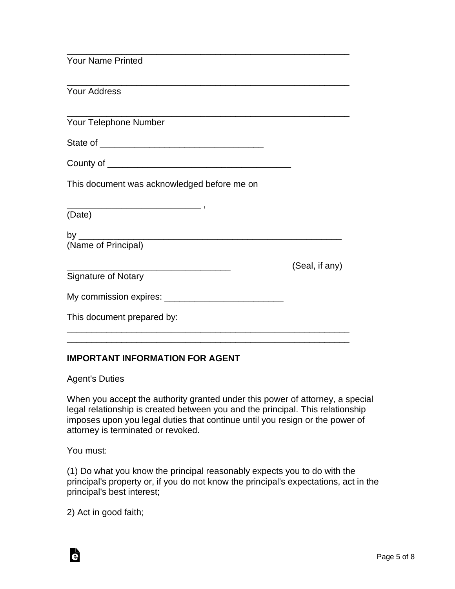| <b>Your Name Printed</b>                    |                |
|---------------------------------------------|----------------|
| <b>Your Address</b>                         |                |
| Your Telephone Number                       |                |
|                                             |                |
|                                             |                |
| This document was acknowledged before me on |                |
| (Date)                                      |                |
|                                             |                |
| (Name of Principal)                         |                |
|                                             | (Seal, if any) |
| <b>Signature of Notary</b>                  |                |
|                                             |                |
| This document prepared by:                  |                |

## **IMPORTANT INFORMATION FOR AGENT**

Agent's Duties

When you accept the authority granted under this power of attorney, a special legal relationship is created between you and the principal. This relationship imposes upon you legal duties that continue until you resign or the power of attorney is terminated or revoked.

\_\_\_\_\_\_\_\_\_\_\_\_\_\_\_\_\_\_\_\_\_\_\_\_\_\_\_\_\_\_\_\_\_\_\_\_\_\_\_\_\_\_\_\_\_\_\_\_\_\_\_\_\_\_\_\_\_

You must:

Ġ

(1) Do what you know the principal reasonably expects you to do with the principal's property or, if you do not know the principal's expectations, act in the principal's best interest;

2) Act in good faith;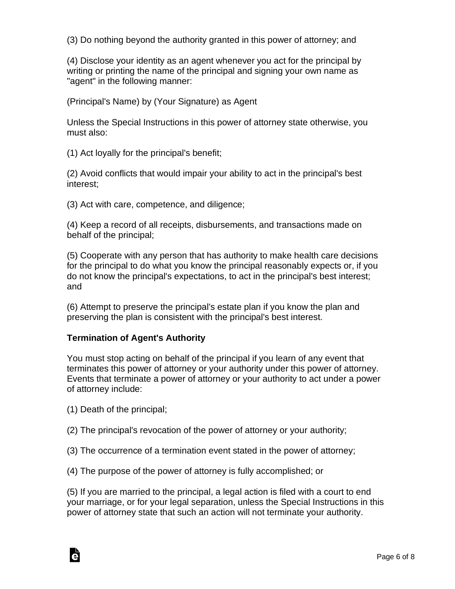(3) Do nothing beyond the authority granted in this power of attorney; and

(4) Disclose your identity as an agent whenever you act for the principal by writing or printing the name of the principal and signing your own name as "agent" in the following manner:

(Principal's Name) by (Your Signature) as Agent

Unless the Special Instructions in this power of attorney state otherwise, you must also:

(1) Act loyally for the principal's benefit;

(2) Avoid conflicts that would impair your ability to act in the principal's best interest;

(3) Act with care, competence, and diligence;

(4) Keep a record of all receipts, disbursements, and transactions made on behalf of the principal;

(5) Cooperate with any person that has authority to make health care decisions for the principal to do what you know the principal reasonably expects or, if you do not know the principal's expectations, to act in the principal's best interest; and

(6) Attempt to preserve the principal's estate plan if you know the plan and preserving the plan is consistent with the principal's best interest.

# **Termination of Agent's Authority**

You must stop acting on behalf of the principal if you learn of any event that terminates this power of attorney or your authority under this power of attorney. Events that terminate a power of attorney or your authority to act under a power of attorney include:

(1) Death of the principal;

Ġ

(2) The principal's revocation of the power of attorney or your authority;

(3) The occurrence of a termination event stated in the power of attorney;

(4) The purpose of the power of attorney is fully accomplished; or

(5) If you are married to the principal, a legal action is filed with a court to end your marriage, or for your legal separation, unless the Special Instructions in this power of attorney state that such an action will not terminate your authority.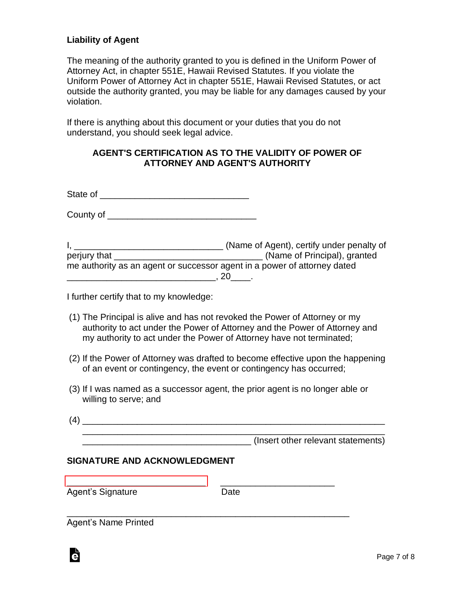## **Liability of Agent**

The meaning of the authority granted to you is defined in the Uniform Power of Attorney Act, in chapter 551E, Hawaii Revised Statutes. If you violate the Uniform Power of Attorney Act in chapter 551E, Hawaii Revised Statutes, or act outside the authority granted, you may be liable for any damages caused by your violation.

If there is anything about this document or your duties that you do not understand, you should seek legal advice.

#### **AGENT'S CERTIFICATION AS TO THE VALIDITY OF POWER OF ATTORNEY AND AGENT'S AUTHORITY**

State of \_\_\_\_\_\_\_\_\_\_\_\_\_\_\_\_\_\_\_\_\_\_\_\_\_\_\_\_\_\_

County of \_\_\_\_\_\_\_\_\_\_\_\_\_\_\_\_\_\_\_\_\_\_\_\_\_\_\_\_\_\_

I, \_\_\_\_\_\_\_\_\_\_\_\_\_\_\_\_\_\_\_\_\_\_\_\_\_\_\_\_\_\_ (Name of Agent), certify under penalty of perjury that \_\_\_\_\_\_\_\_\_\_\_\_\_\_\_\_\_\_\_\_\_\_\_\_\_\_\_\_\_\_ (Name of Principal), granted me authority as an agent or successor agent in a power of attorney dated \_\_\_\_\_\_\_\_\_\_\_\_\_\_\_\_\_\_\_\_\_\_\_\_\_\_\_\_\_\_, 20\_\_\_\_.

I further certify that to my knowledge:

- (1) The Principal is alive and has not revoked the Power of Attorney or my authority to act under the Power of Attorney and the Power of Attorney and my authority to act under the Power of Attorney have not terminated;
- (2) If the Power of Attorney was drafted to become effective upon the happening of an event or contingency, the event or contingency has occurred;
- (3) If I was named as a successor agent, the prior agent is no longer able or willing to serve; and
- (4) \_\_\_\_\_\_\_\_\_\_\_\_\_\_\_\_\_\_\_\_\_\_\_\_\_\_\_\_\_\_\_\_\_\_\_\_\_\_\_\_\_\_\_\_\_\_\_\_\_\_\_\_\_\_\_\_\_\_\_\_\_ \_\_\_\_\_\_\_\_\_\_\_\_\_\_\_\_\_\_\_\_\_\_\_\_\_\_\_\_\_\_\_\_\_\_\_\_\_\_\_\_\_\_\_\_\_\_\_\_\_\_\_\_\_\_\_\_\_\_\_\_\_ (Insert other relevant statements)

## **SIGNATURE AND ACKNOWLEDGMENT**

| Agent's Signature | Date |  |
|-------------------|------|--|
|                   |      |  |

Agent's Name Printed

à